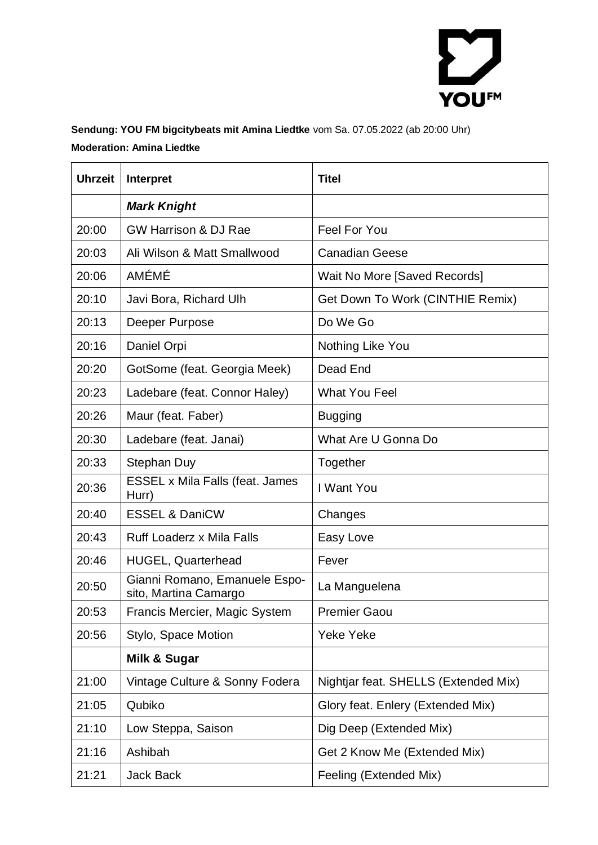

### **Sendung: YOU FM bigcitybeats mit Amina Liedtke** vom Sa. 07.05.2022 (ab 20:00 Uhr) **Moderation: Amina Liedtke**

| <b>Uhrzeit</b> | Interpret                                              | <b>Titel</b>                         |
|----------------|--------------------------------------------------------|--------------------------------------|
|                | <b>Mark Knight</b>                                     |                                      |
| 20:00          | <b>GW Harrison &amp; DJ Rae</b>                        | <b>Feel For You</b>                  |
| 20:03          | Ali Wilson & Matt Smallwood                            | <b>Canadian Geese</b>                |
| 20:06          | <b>AMÉMÉ</b>                                           | Wait No More [Saved Records]         |
| 20:10          | Javi Bora, Richard Ulh                                 | Get Down To Work (CINTHIE Remix)     |
| 20:13          | Deeper Purpose                                         | Do We Go                             |
| 20:16          | Daniel Orpi                                            | Nothing Like You                     |
| 20:20          | GotSome (feat. Georgia Meek)                           | Dead End                             |
| 20:23          | Ladebare (feat. Connor Haley)                          | <b>What You Feel</b>                 |
| 20:26          | Maur (feat. Faber)                                     | <b>Bugging</b>                       |
| 20:30          | Ladebare (feat. Janai)                                 | What Are U Gonna Do                  |
| 20:33          | Stephan Duy                                            | Together                             |
| 20:36          | ESSEL x Mila Falls (feat. James<br>Hurr)               | I Want You                           |
| 20:40          | <b>ESSEL &amp; DaniCW</b>                              | Changes                              |
| 20:43          | <b>Ruff Loaderz x Mila Falls</b>                       | Easy Love                            |
| 20:46          | <b>HUGEL, Quarterhead</b>                              | Fever                                |
| 20:50          | Gianni Romano, Emanuele Espo-<br>sito, Martina Camargo | La Manguelena                        |
| 20:53          | Francis Mercier, Magic System                          | <b>Premier Gaou</b>                  |
| 20:56          | Stylo, Space Motion                                    | <b>Yeke Yeke</b>                     |
|                | Milk & Sugar                                           |                                      |
| 21:00          | Vintage Culture & Sonny Fodera                         | Nightjar feat. SHELLS (Extended Mix) |
| 21:05          | Qubiko                                                 | Glory feat. Enlery (Extended Mix)    |
| 21:10          | Low Steppa, Saison                                     | Dig Deep (Extended Mix)              |
| 21:16          | Ashibah                                                | Get 2 Know Me (Extended Mix)         |
| 21:21          | Jack Back                                              | Feeling (Extended Mix)               |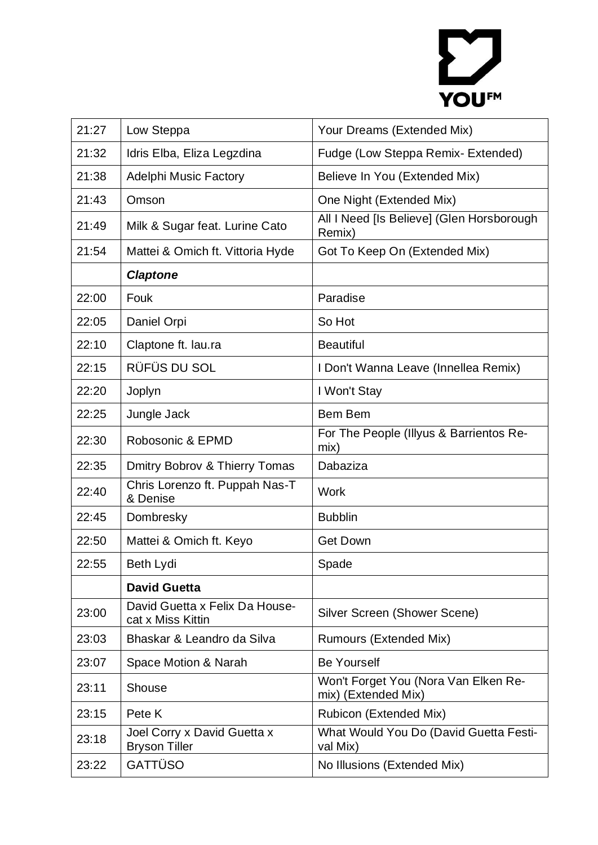# YOU<sup>FM</sup>

| 21:27 | Low Steppa                                          | Your Dreams (Extended Mix)                                  |
|-------|-----------------------------------------------------|-------------------------------------------------------------|
| 21:32 | Idris Elba, Eliza Legzdina                          | Fudge (Low Steppa Remix-Extended)                           |
| 21:38 | <b>Adelphi Music Factory</b>                        | Believe In You (Extended Mix)                               |
| 21:43 | Omson                                               | One Night (Extended Mix)                                    |
| 21:49 | Milk & Sugar feat. Lurine Cato                      | All I Need [Is Believe] (Glen Horsborough<br>Remix)         |
| 21:54 | Mattei & Omich ft. Vittoria Hyde                    | Got To Keep On (Extended Mix)                               |
|       | <b>Claptone</b>                                     |                                                             |
| 22:00 | Fouk                                                | Paradise                                                    |
| 22:05 | Daniel Orpi                                         | So Hot                                                      |
| 22:10 | Claptone ft. lau.ra                                 | <b>Beautiful</b>                                            |
| 22:15 | RÜFÜS DU SOL                                        | I Don't Wanna Leave (Innellea Remix)                        |
| 22:20 | Joplyn                                              | I Won't Stay                                                |
| 22:25 | Jungle Jack                                         | Bem Bem                                                     |
| 22:30 | Robosonic & EPMD                                    | For The People (Illyus & Barrientos Re-<br>mix)             |
| 22:35 | Dmitry Bobrov & Thierry Tomas                       | Dabaziza                                                    |
| 22:40 | Chris Lorenzo ft. Puppah Nas-T<br>& Denise          | <b>Work</b>                                                 |
| 22:45 | Dombresky                                           | <b>Bubblin</b>                                              |
| 22:50 | Mattei & Omich ft. Keyo                             | <b>Get Down</b>                                             |
| 22:55 | <b>Beth Lydi</b>                                    | Spade                                                       |
|       | <b>David Guetta</b>                                 |                                                             |
| 23:00 | David Guetta x Felix Da House-<br>cat x Miss Kittin | Silver Screen (Shower Scene)                                |
| 23:03 | Bhaskar & Leandro da Silva                          | <b>Rumours (Extended Mix)</b>                               |
| 23:07 | Space Motion & Narah                                | <b>Be Yourself</b>                                          |
| 23:11 | Shouse                                              | Won't Forget You (Nora Van Elken Re-<br>mix) (Extended Mix) |
| 23:15 | Pete K                                              | Rubicon (Extended Mix)                                      |
| 23:18 | Joel Corry x David Guetta x<br><b>Bryson Tiller</b> | What Would You Do (David Guetta Festi-<br>val Mix)          |
| 23:22 | GATTÜSO                                             | No Illusions (Extended Mix)                                 |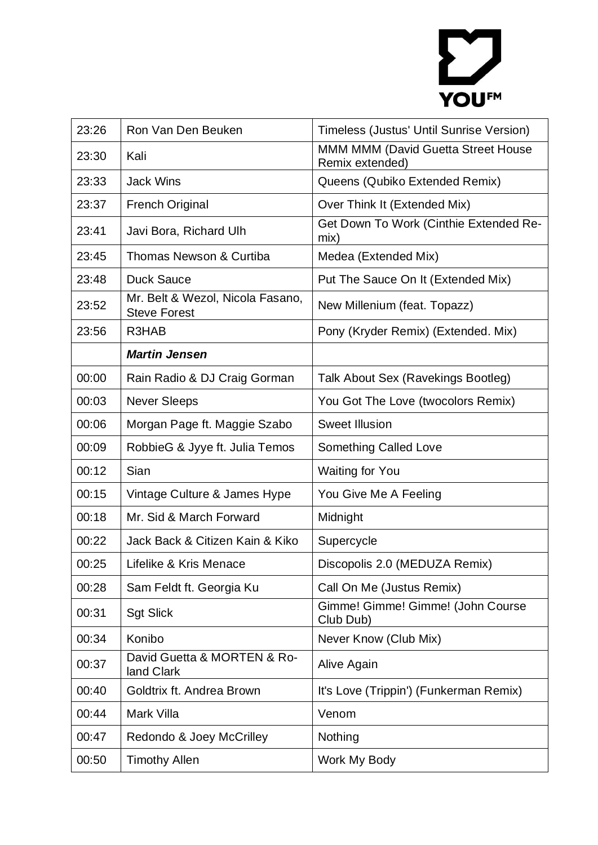# YOU<sup>FM</sup>

| 23:26 | Ron Van Den Beuken                                      | Timeless (Justus' Until Sunrise Version)              |
|-------|---------------------------------------------------------|-------------------------------------------------------|
| 23:30 | Kali                                                    | MMM MMM (David Guetta Street House<br>Remix extended) |
| 23:33 | <b>Jack Wins</b>                                        | Queens (Qubiko Extended Remix)                        |
| 23:37 | <b>French Original</b>                                  | Over Think It (Extended Mix)                          |
| 23:41 | Javi Bora, Richard Ulh                                  | Get Down To Work (Cinthie Extended Re-<br>mix)        |
| 23:45 | Thomas Newson & Curtiba                                 | Medea (Extended Mix)                                  |
| 23:48 | <b>Duck Sauce</b>                                       | Put The Sauce On It (Extended Mix)                    |
| 23:52 | Mr. Belt & Wezol, Nicola Fasano,<br><b>Steve Forest</b> | New Millenium (feat. Topazz)                          |
| 23:56 | R3HAB                                                   | Pony (Kryder Remix) (Extended. Mix)                   |
|       | <b>Martin Jensen</b>                                    |                                                       |
| 00:00 | Rain Radio & DJ Craig Gorman                            | Talk About Sex (Ravekings Bootleg)                    |
| 00:03 | <b>Never Sleeps</b>                                     | You Got The Love (twocolors Remix)                    |
| 00:06 | Morgan Page ft. Maggie Szabo                            | <b>Sweet Illusion</b>                                 |
| 00:09 | RobbieG & Jyye ft. Julia Temos                          | Something Called Love                                 |
| 00:12 | Sian                                                    | <b>Waiting for You</b>                                |
| 00:15 | Vintage Culture & James Hype                            | You Give Me A Feeling                                 |
| 00:18 | Mr. Sid & March Forward                                 | Midnight                                              |
| 00:22 | Jack Back & Citizen Kain & Kiko                         | Supercycle                                            |
| 00:25 | Lifelike & Kris Menace                                  | Discopolis 2.0 (MEDUZA Remix)                         |
| 00:28 | Sam Feldt ft. Georgia Ku                                | Call On Me (Justus Remix)                             |
| 00:31 | <b>Sgt Slick</b>                                        | Gimme! Gimme! Gimme! (John Course<br>Club Dub)        |
| 00:34 | Konibo                                                  | Never Know (Club Mix)                                 |
| 00:37 | David Guetta & MORTEN & Ro-<br>land Clark               | Alive Again                                           |
| 00:40 | Goldtrix ft. Andrea Brown                               | It's Love (Trippin') (Funkerman Remix)                |
| 00:44 | Mark Villa                                              | Venom                                                 |
| 00:47 | Redondo & Joey McCrilley                                | Nothing                                               |
| 00:50 | <b>Timothy Allen</b>                                    | Work My Body                                          |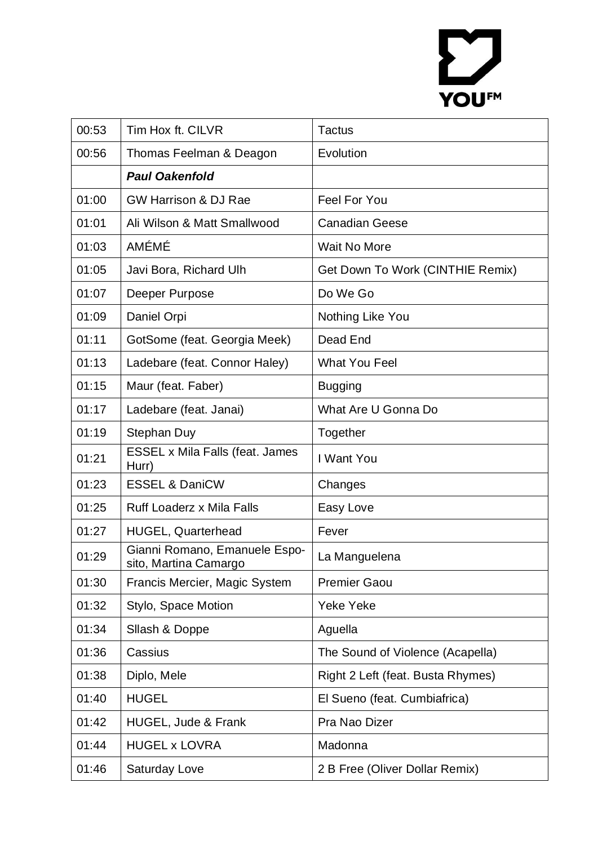# YOU<sup>FM</sup>

| 00:53 | Tim Hox ft. CILVR                                      | <b>Tactus</b>                     |
|-------|--------------------------------------------------------|-----------------------------------|
| 00:56 | Thomas Feelman & Deagon                                | Evolution                         |
|       | <b>Paul Oakenfold</b>                                  |                                   |
| 01:00 | <b>GW Harrison &amp; DJ Rae</b>                        | <b>Feel For You</b>               |
| 01:01 | Ali Wilson & Matt Smallwood                            | <b>Canadian Geese</b>             |
| 01:03 | <b>AMÉMÉ</b>                                           | <b>Wait No More</b>               |
| 01:05 | Javi Bora, Richard Ulh                                 | Get Down To Work (CINTHIE Remix)  |
| 01:07 | Deeper Purpose                                         | Do We Go                          |
| 01:09 | Daniel Orpi                                            | Nothing Like You                  |
| 01:11 | GotSome (feat. Georgia Meek)                           | Dead End                          |
| 01:13 | Ladebare (feat. Connor Haley)                          | <b>What You Feel</b>              |
| 01:15 | Maur (feat. Faber)                                     | <b>Bugging</b>                    |
| 01:17 | Ladebare (feat. Janai)                                 | What Are U Gonna Do               |
| 01:19 | Stephan Duy                                            | Together                          |
| 01:21 | ESSEL x Mila Falls (feat. James<br>Hurr)               | I Want You                        |
| 01:23 | <b>ESSEL &amp; DaniCW</b>                              | Changes                           |
| 01:25 | <b>Ruff Loaderz x Mila Falls</b>                       | Easy Love                         |
| 01:27 | <b>HUGEL, Quarterhead</b>                              | Fever                             |
| 01:29 | Gianni Romano, Emanuele Espo-<br>sito, Martina Camargo | La Manguelena                     |
| 01:30 | Francis Mercier, Magic System                          | <b>Premier Gaou</b>               |
| 01:32 | Stylo, Space Motion                                    | Yeke Yeke                         |
| 01:34 | Sllash & Doppe                                         | Aguella                           |
| 01:36 | Cassius                                                | The Sound of Violence (Acapella)  |
| 01:38 | Diplo, Mele                                            | Right 2 Left (feat. Busta Rhymes) |
| 01:40 | <b>HUGEL</b>                                           | El Sueno (feat. Cumbiafrica)      |
| 01:42 | HUGEL, Jude & Frank                                    | Pra Nao Dizer                     |
| 01:44 | <b>HUGEL x LOVRA</b>                                   | Madonna                           |
| 01:46 | <b>Saturday Love</b>                                   | 2 B Free (Oliver Dollar Remix)    |